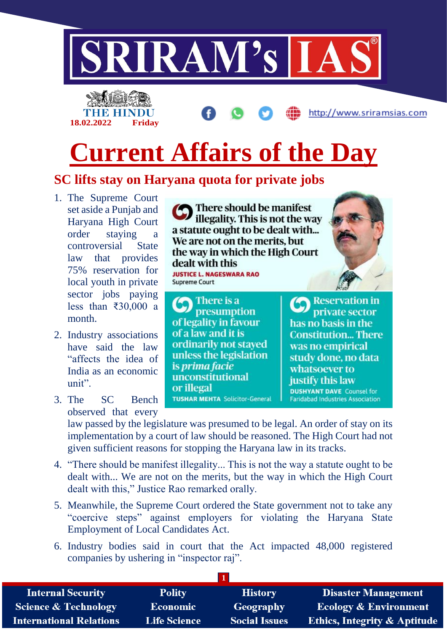



http://www.sriramsias.com

## **Current Affairs of the Day**

## **SC lifts stay on Haryana quota for private jobs**

- 1. The Supreme Court set aside a Punjab and Haryana High Court order staying a controversial State law that provides 75% reservation for local youth in private sector jobs paying less than ₹30,000 a month.
- 2. Industry associations have said the law "affects the idea of India as an economic  $\text{unit}^{\prime\prime}$ .
- 3. The SC Bench observed that every

There should be manifest illegality. This is not the way a statute ought to be dealt with... We are not on the merits, but the way in which the High Court dealt with this **JUSTICE L. NAGESWARA RAO Supreme Court** 

There is a presumption of legality in favour of a law and it is ordinarily not stayed unless the legislation is prima facie unconstitutional or illegal **TUSHAR MEHTA Solicitor-General** 



**Reservation in** private sector has no basis in the **Constitution... There** was no empirical study done, no data whatsoever to justify this law **DUSHYANT DAVE** Counsel for **Faridabad Industries Association** 

law passed by the legislature was presumed to be legal. An order of stay on its implementation by a court of law should be reasoned. The High Court had not given sufficient reasons for stopping the Haryana law in its tracks.

- 4. "There should be manifest illegality... This is not the way a statute ought to be dealt with... We are not on the merits, but the way in which the High Court dealt with this," Justice Rao remarked orally.
- 5. Meanwhile, the Supreme Court ordered the State government not to take any "coercive steps" against employers for violating the Haryana State Employment of Local Candidates Act.
- 6. Industry bodies said in court that the Act impacted 48,000 registered companies by ushering in "inspector raj".

| <b>Internal Security</b>        | <b>Polity</b>       | <b>History</b>       | <b>Disaster Management</b>              |
|---------------------------------|---------------------|----------------------|-----------------------------------------|
| <b>Science &amp; Technology</b> | <b>Economic</b>     | Geography            | <b>Ecology &amp; Environment</b>        |
| <b>International Relations</b>  | <b>Life Science</b> | <b>Social Issues</b> | <b>Ethics, Integrity &amp; Aptitude</b> |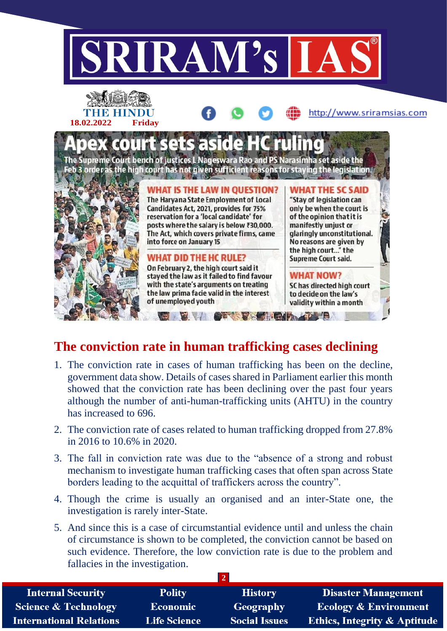

## **The conviction rate in human trafficking cases declining**

- 1. The conviction rate in cases of human trafficking has been on the decline, government data show. Details of cases shared in Parliament earlier this month showed that the conviction rate has been declining over the past four years although the number of anti-human-trafficking units (AHTU) in the country has increased to 696.
- 2. The conviction rate of cases related to human trafficking dropped from 27.8% in 2016 to 10.6% in 2020.
- 3. The fall in conviction rate was due to the "absence of a strong and robust mechanism to investigate human trafficking cases that often span across State borders leading to the acquittal of traffickers across the country".
- 4. Though the crime is usually an organised and an inter-State one, the investigation is rarely inter-State.
- 5. And since this is a case of circumstantial evidence until and unless the chain of circumstance is shown to be completed, the conviction cannot be based on such evidence. Therefore, the low conviction rate is due to the problem and fallacies in the investigation.

| <b>Internal Security</b>        | <b>Polity</b>       | <b>History</b>       | <b>Disaster Management</b>              |  |  |
|---------------------------------|---------------------|----------------------|-----------------------------------------|--|--|
| <b>Science &amp; Technology</b> | <b>Economic</b>     | Geography            | <b>Ecology &amp; Environment</b>        |  |  |
| <b>International Relations</b>  | <b>Life Science</b> | <b>Social Issues</b> | <b>Ethics, Integrity &amp; Aptitude</b> |  |  |